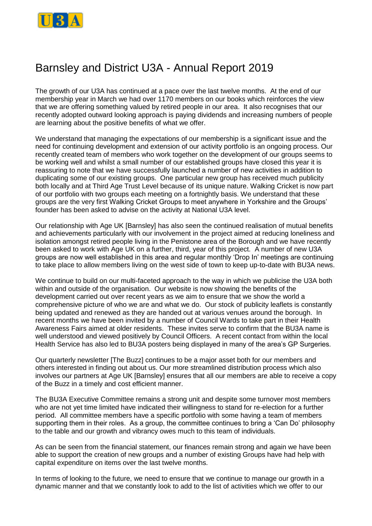

## Barnsley and District U3A - Annual Report 2019

The growth of our U3A has continued at a pace over the last twelve months. At the end of our membership year in March we had over 1170 members on our books which reinforces the view that we are offering something valued by retired people in our area. It also recognises that our recently adopted outward looking approach is paying dividends and increasing numbers of people are learning about the positive benefits of what we offer.

We understand that managing the expectations of our membership is a significant issue and the need for continuing development and extension of our activity portfolio is an ongoing process. Our recently created team of members who work together on the development of our groups seems to be working well and whilst a small number of our established groups have closed this year it is reassuring to note that we have successfully launched a number of new activities in addition to duplicating some of our existing groups. One particular new group has received much publicity both locally and at Third Age Trust Level because of its unique nature. Walking Cricket is now part of our portfolio with two groups each meeting on a fortnightly basis. We understand that these groups are the very first Walking Cricket Groups to meet anywhere in Yorkshire and the Groups' founder has been asked to advise on the activity at National U3A level.

Our relationship with Age UK [Barnsley] has also seen the continued realisation of mutual benefits and achievements particularly with our involvement in the project aimed at reducing loneliness and isolation amongst retired people living in the Penistone area of the Borough and we have recently been asked to work with Age UK on a further, third, year of this project. A number of new U3A groups are now well established in this area and regular monthly 'Drop In' meetings are continuing to take place to allow members living on the west side of town to keep up-to-date with BU3A news.

We continue to build on our multi-faceted approach to the way in which we publicise the U3A both within and outside of the organisation. Our website is now showing the benefits of the development carried out over recent years as we aim to ensure that we show the world a comprehensive picture of who we are and what we do. Our stock of publicity leaflets is constantly being updated and renewed as they are handed out at various venues around the borough. In recent months we have been invited by a number of Council Wards to take part in their Health Awareness Fairs aimed at older residents. These invites serve to confirm that the BU3A name is well understood and viewed positively by Council Officers. A recent contact from within the local Health Service has also led to BU3A posters being displayed in many of the area's GP Surgeries.

Our quarterly newsletter [The Buzz] continues to be a major asset both for our members and others interested in finding out about us. Our more streamlined distribution process which also involves our partners at Age UK [Barnsley] ensures that all our members are able to receive a copy of the Buzz in a timely and cost efficient manner.

The BU3A Executive Committee remains a strong unit and despite some turnover most members who are not yet time limited have indicated their willingness to stand for re-election for a further period. All committee members have a specific portfolio with some having a team of members supporting them in their roles. As a group, the committee continues to bring a 'Can Do' philosophy to the table and our growth and vibrancy owes much to this team of individuals.

As can be seen from the financial statement, our finances remain strong and again we have been able to support the creation of new groups and a number of existing Groups have had help with capital expenditure on items over the last twelve months.

In terms of looking to the future, we need to ensure that we continue to manage our growth in a dynamic manner and that we constantly look to add to the list of activities which we offer to our